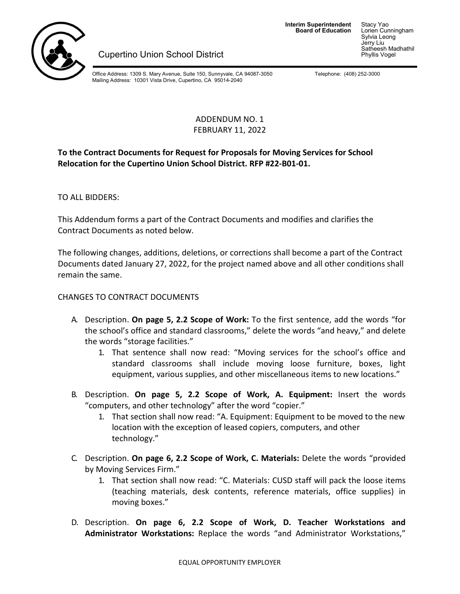

**Interim Superintendent**<br>**Board of Education** 

**Board of Education** Lorien Cunningham Sylvia Leong Jerry Liu Satheesh Madhathil<br>Phyllis Vogel

**Cupertino Union School District** 

Office Address: 1309 S. Mary Avenue, Suite 150, Sunnyvale, CA 94087-3050 Falephone: (408) 252-3000 Mailing Address: 10301 Vista Drive, Cupertino, CA 95014-2040

## ADDENDUM NO. 1 FEBRUARY 11, 2022

## **To the Contract Documents for Request for Proposals for Moving Services for School Relocation for the Cupertino Union School District. RFP #22-B01-01.**

TO ALL BIDDERS:

This Addendum forms a part of the Contract Documents and modifies and clarifies the Contract Documents as noted below.

The following changes, additions, deletions, or corrections shall become a part of the Contract Documents dated January 27, 2022, for the project named above and all other conditions shall remain the same.

## CHANGES TO CONTRACT DOCUMENTS

- A. Description. **On page 5, 2.2 Scope of Work:** To the first sentence, add the words "for the school's office and standard classrooms," delete the words "and heavy," and delete the words "storage facilities."
	- 1. That sentence shall now read: "Moving services for the school's office and standard classrooms shall include moving loose furniture, boxes, light equipment, various supplies, and other miscellaneous items to new locations."
- B. Description. **On page 5, 2.2 Scope of Work, A. Equipment:** Insert the words "computers, and other technology" after the word "copier."
	- 1. That section shall now read: "A. Equipment: Equipment to be moved to the new location with the exception of leased copiers, computers, and other technology."
- C. Description. **On page 6, 2.2 Scope of Work, C. Materials:** Delete the words "provided by Moving Services Firm."
	- 1. That section shall now read: "C. Materials: CUSD staff will pack the loose items (teaching materials, desk contents, reference materials, office supplies) in moving boxes."
- D. Description. **On page 6, 2.2 Scope of Work, D. Teacher Workstations and Administrator Workstations:** Replace the words "and Administrator Workstations,"